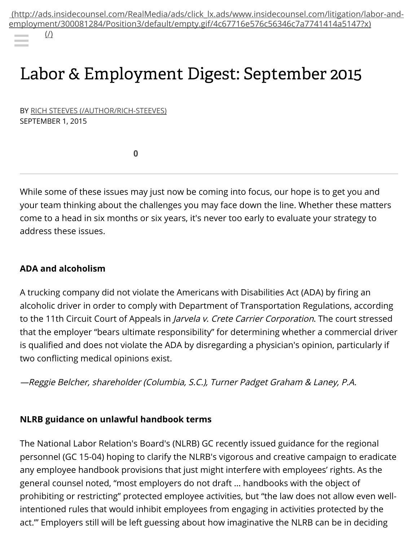[\(http://ads.insidecounsel.com/RealMedia/ads/click\\_lx.ads/www.insidecounsel.com/litigation/labor-and](http://ads.insidecounsel.com/RealMedia/ads/click_lx.ads/www.insidecounsel.com/litigation/labor-and-employment/300081284/Position3/default/empty.gif/4c67716e576c56346c7a7741414a5147?x)[employment/3000812](http://www.googleadservices.com/pagead/aclk?sa=L&ai=CyRbSTsLlVZXIJ5eKpgPGrpyYA8jkn4IHwNip_OgBwI23ARABILDPpycoBGDJhoCA3KPcEKAB6L2m5wPIAQGoAwHIA8MEqgS4AU_QMnDl7sKE_Muk4QyKVkAu7pOtnb6sFYLyaCpLJ_vY72qiCHQUs5LJxbOzjfnQY6iIHQu1-ONP68yx6PlyMDVUfPFY4aHgy5loPrBBDeaUi8yoKIpttmiZ3CU6zU0tgPkvDFmPno0qd-9JEWzNDwAayrfbNtKp5mVhJUfql86vtJrLRAsDc5ubZ1d6vSeqSV7FWQdJrCaYs6jrIC2-1EtuJltX03Ehb-rrXxsR0eOjhvNWifnqCAuIBgGAB4DC2RioB6a-G9gHAQ&num=1&cid=5Gg0PTBuXAGHxG-RnDwrdQ_J&sig=AOD64_1sz57dZdENcSxAlPb6Eb53F4YxeA&client=ca-pub-4482438539632803&adurl=http://www.muscalaw.com/florida-criminal-defense/criminal-defense/%3Fibp-adgroup%3D59%26utm_source%3DGoogle%26utm_medium%3DPPC%26utm_campaign%3D59%26utm_content%3D62557771232%26utm_term%3Dcriminal%2520law%2520firm)[84/](http://www.insidecounsel.com/)[Position3/defa](http://www.googleadservices.com/pagead/aclk?sa=L&ai=CkI4yTsLlVZXIJ5eKpgPGrpyYA4q83qYH8oC16PoBwI23ARACILDPpycoBGDJhoCA3KPcEKABpqO0zAPIAQGoAwHIA8MEqgS3AU_QcmgP9Ni9xHkX9W6KVhlp6Y63kL-qGZjpdTxCZbbU7b0ZAEoRudKIzNyNn1ALLI6UHQ__7eMX68zor_5vKjhVev1C-rz2wtslMrIDEOSVj9a3IZxyt3ba0SY30BJliOQzD0-bloYwLqZEH27bCFlE3KLfJ9qm4XI-OkXrkxtOtxhJR8LJs7WFk5CRA59HopQLtuxZV80kCVgdIS--EHqYpdtXw5TXbSsrX-7n0uOlgBOwNbzYy4gGAYAHwtzLM6gHpr4b2AcB&num=2&cid=5Gg0PTBuXAGHxG-RnDwrdQ_J&sig=AOD64_1-oYrXua-k4hWmRRgfFbJj73UwCA&client=ca-pub-4482438539632803&adurl=https://www.backgroundalert.com/pa/%3Ftg_ref%3DGOOGD%26camp_id%3DBackGround%26keyword%3Demployment%2520background%2520checks%26sub2%3DPAS)ult/empty.gif[/4c67716e576c5634](http://www.googleadservices.com/pagead/aclk?sa=L&ai=CTVqGTsLlVZXIJ5eKpgPGrpyYA_OripZC24qc4bEB05iihjQQAyCwz6cnKARgyYaAgNyj3BCgAc_4iM8DyAEBqAMByAPDBKoEvgFP0GIV2O3ChvzLpOEMilZALu6TrZ2-rBWC8mgqSyf72O9qogh0FLOSycWzs4350GOoiB0LtfjjT-vMsej5cjA1VHzxWOGh4MuZaD6wQQ3mlIvMqCiKbbZomdwlOs1NLYD5LwxZj56NKnfvSRFszQ8AGsq32zbSqeZlYSVH6pfOr7Sas0cLS3MCrdd-WrwZYE4N5F1ST1fNUgtFHTDHvWuKbibZV9OlIW9rK18LEdHiY4DzQ4w5SvkcZBVofudViAYBgAfzzdMcqAemvhvYBwE&num=3&cid=5Gg0PTBuXAGHxG-RnDwrdQ_J&sig=AOD64_0Q7_VuRXoF0ORp2PCQAWzlx6CB1Q&client=ca-pub-4482438539632803&adurl=http://tcgtrkr.com/%3Fa%3D54%26oc%3D1%26c%3D1%26s1%3DTASCM)6c7a7[741414a5147?x\)](http://www.googleadservices.com/pagead/aclk?sa=L&ai=Cs39BTsLlVZXIJ5eKpgPGrpyYA-rt_9kGgrrx-eEBwI23ARAEILDPpycoBGDJhoCA3KPcEKAB4qnI_APIAQGoAwHIA8MEqgS4AU_QEi_h7cKB_Muk4QyKVkAu7pOtnb6sFYLyaCpLJ_vY72qiCHQUs5LJxbOzjfnQY6iIHQu1-ONP68yx6PlyMDVUfPFY4aHgy5loPrBBDeaUi8yoKIpttmiZ3CU6zU0tgPkvDFmPno0qd-9JEWzNDwAayrfbNtKp5mVhJUfql86vtJrLRAsDc4HAZSV6vSeqSV7FWQdJrCaYs6jrIC2-1EtuJltX03Ehb-rrXxsR0eOjhvNWiZvnIxiIBgGAB4bWtwOoB6a-G9gHAQ&num=4&cid=5Gg0PTBuXAGHxG-RnDwrdQ_J&sig=AOD64_2cKnWDVoUDTvTwWZUejcbKcyZ5fg&client=ca-pub-4482438539632803&adurl=http://www.totalcriminaldefense.com/lp/16/%3F%26utm_content%3D61339476170%26utm_source%3Dgoogle%26utm_medium%3Dcpc%26utm_campaign%3DCD%253A%2BGDN%2B-%2BGeneral%2BTerms%26utm_term%3Dcriminal%2Blaw%2B-%2BBroad%26GCID%3DX001%26keywordid%3DAC:google%7CCP:CD%253A%2BGDN%2B-%2BGeneral%2BTerms%7CAG:Criminal%2BLaw%7CKW:criminal%2Blaw%7CMT:Broad%7CADID:61339476170%7CMKWID:caUL48N4V_dc%7CN:d%7CP:www.insidecounsel.com%7CTID:kwd-10202970%7CLOC:9011759%7CDM:%7CFID:%26creativeid%3D61339476170%26placement%3Dwww.insidecounsel.com)

 $($ 

# Labor & Employment Digest: September 2015

BY RICH STEEVES [\(/AUTHOR/RICH-STEEVES\)](http://www.insidecounsel.com/author/rich-steeves) SEPTEMBER 1, 2015

0

While some of these issues may just now be coming into focus, our hope is to get you and your team thinking about the challenges you may face down the line. Whether these matters come to a head in six months or six years, it's never too early to evaluate your strategy to address these issues.

#### ADA and alcoholism

A trucking company did not violate the Americans with Disabilities Act (ADA) by firing an alcoholic driver in order to comply with Department of Transportation Regulations, according to the 11th Circuit Court of Appeals in *Jarvela v. Crete Carrier Corporation*. The court stressed that the employer "bears ultimate responsibility" for determining whether a commercial driver is qualified and does not violate the ADA by disregarding a physician's opinion, particularly if two conflicting medical opinions exist.

—Reggie Belcher, shareholder (Columbia, S.C.), Turner Padget Graham & Laney, P.A.

#### NLRB guidance on unlawful handbook terms

The National Labor Relation's Board's (NLRB) GC recently issued guidance for the regional personnel (GC 15-04) hoping to clarify the NLRB's vigorous and creative campaign to eradicate any employee handbook provisions that just might interfere with employees' rights. As the general counsel noted, "most employers do not draft … handbooks with the object of prohibiting or restricting" protected employee activities, but "the law does not allow even wellintentioned rules that would inhibit employees from engaging in activities protected by the act.'" Employers still will be left guessing about how imaginative the NLRB can be in deciding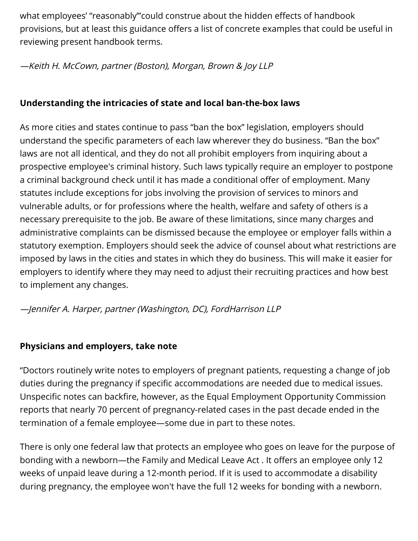what employees' "reasonably'"could construe about the hidden effects of handbook provisions, but at least this guidance offers a list of concrete examples that could be useful in reviewing present handbook terms.

#### —Keith H. McCown, partner (Boston), Morgan, Brown & Joy LLP

## Understanding the intricacies of state and local ban-the-box laws

As more cities and states continue to pass "ban the box" legislation, employers should understand the specific parameters of each law wherever they do business. "Ban the box" laws are not all identical, and they do not all prohibit employers from inquiring about a prospective employee's criminal history. Such laws typically require an employer to postpone a criminal background check until it has made a conditional offer of employment. Many statutes include exceptions for jobs involving the provision of services to minors and vulnerable adults, or for professions where the health, welfare and safety of others is a necessary prerequisite to the job. Be aware of these limitations, since many charges and administrative complaints can be dismissed because the employee or employer falls within a statutory exemption. Employers should seek the advice of counsel about what restrictions are imposed by laws in the cities and states in which they do business. This will make it easier for employers to identify where they may need to adjust their recruiting practices and how best to implement any changes.

#### —Jennifer A. Harper, partner (Washington, DC), FordHarrison LLP

# Physicians and employers, take note

"Doctors routinely write notes to employers of pregnant patients, requesting a change of job duties during the pregnancy if specific accommodations are needed due to medical issues. Unspecific notes can backfire, however, as the Equal Employment Opportunity Commission reports that nearly 70 percent of pregnancy-related cases in the past decade ended in the termination of a female employee—some due in part to these notes.

There is only one federal law that protects an employee who goes on leave for the purpose of bonding with a newborn—the Family and Medical Leave Act . It offers an employee only 12 weeks of unpaid leave during a 12-month period. If it is used to accommodate a disability during pregnancy, the employee won't have the full 12 weeks for bonding with a newborn.